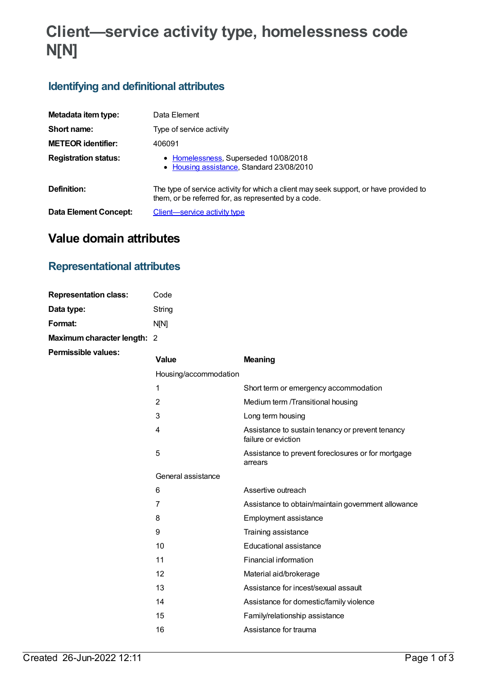# **Client—service activity type, homelessness code N[N]**

### **Identifying and definitional attributes**

| Metadata item type:         | Data Element                                                                                                                                 |
|-----------------------------|----------------------------------------------------------------------------------------------------------------------------------------------|
| Short name:                 | Type of service activity                                                                                                                     |
| <b>METEOR identifier:</b>   | 406091                                                                                                                                       |
| <b>Registration status:</b> | • Homelessness, Superseded 10/08/2018<br>• Housing assistance, Standard 23/08/2010                                                           |
| Definition:                 | The type of service activity for which a client may seek support, or have provided to<br>them, or be referred for, as represented by a code. |
| Data Element Concept:       | Client—service activity type                                                                                                                 |

## **Value domain attributes**

#### **Representational attributes**

| <b>Representation class:</b> | Code        |
|------------------------------|-------------|
| Data type:                   | String      |
| Format:                      | <b>NIN1</b> |
| Maximum character length: 2  |             |

**Permissible values:**

| <b>Value</b>          | <b>Meaning</b>                                                          |
|-----------------------|-------------------------------------------------------------------------|
| Housing/accommodation |                                                                         |
| 1                     | Short term or emergency accommodation                                   |
| 2                     | Medium term /Transitional housing                                       |
| 3                     | Long term housing                                                       |
| 4                     | Assistance to sustain tenancy or prevent tenancy<br>failure or eviction |
| 5                     | Assistance to prevent foreclosures or for mortgage<br>arrears           |
| General assistance    |                                                                         |
| 6                     | Assertive outreach                                                      |
| 7                     | Assistance to obtain/maintain government allowance                      |
| 8                     | Employment assistance                                                   |
| 9                     | Training assistance                                                     |
| 10                    | Educational assistance                                                  |
| 11                    | Financial information                                                   |
| 12                    | Material aid/brokerage                                                  |
| 13                    | Assistance for incest/sexual assault                                    |
| 14                    | Assistance for domestic/family violence                                 |
| 15                    | Family/relationship assistance                                          |
| 16                    | Assistance for trauma                                                   |
|                       |                                                                         |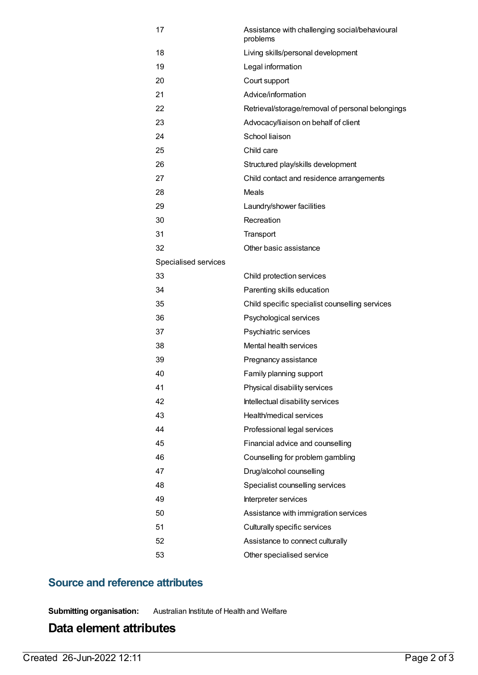| 17                   | Assistance with challenging social/behavioural<br>problems |
|----------------------|------------------------------------------------------------|
| 18                   | Living skills/personal development                         |
| 19                   | Legal information                                          |
| 20                   | Court support                                              |
| 21                   | Advice/information                                         |
| 22                   | Retrieval/storage/removal of personal belongings           |
| 23                   | Advocacy/liaison on behalf of client                       |
| 24                   | School liaison                                             |
| 25                   | Child care                                                 |
| 26                   | Structured play/skills development                         |
| 27                   | Child contact and residence arrangements                   |
| 28                   | Meals                                                      |
| 29                   | Laundry/shower facilities                                  |
| 30                   | Recreation                                                 |
| 31                   | Transport                                                  |
| 32                   | Other basic assistance                                     |
| Specialised services |                                                            |
| 33                   | Child protection services                                  |
| 34                   | Parenting skills education                                 |
| 35                   | Child specific specialist counselling services             |
| 36                   | Psychological services                                     |
| 37                   | Psychiatric services                                       |
| 38                   | Mental health services                                     |
| 39                   | Pregnancy assistance                                       |
| 40                   | Family planning support                                    |
| 41                   | Physical disability services                               |
| 42                   | Intellectual disability services                           |
| 43                   | Health/medical services                                    |
| 44                   | Professional legal services                                |
| 45                   | Financial advice and counselling                           |
| 46                   | Counselling for problem gambling                           |
| 47                   | Drug/alcohol counselling                                   |
| 48                   | Specialist counselling services                            |
| 49                   | Interpreter services                                       |
| 50                   | Assistance with immigration services                       |
| 51                   | Culturally specific services                               |
| 52                   | Assistance to connect culturally                           |
| 53                   | Other specialised service                                  |

#### **Source and reference attributes**

**Submitting organisation:** Australian Institute of Health and Welfare

#### **Data element attributes**